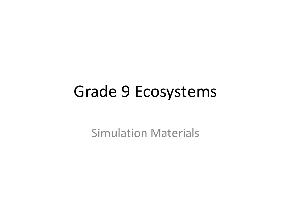# Grade 9 Ecosystems

**Simulation Materials**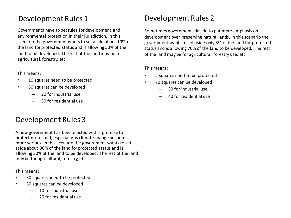# Development Rules 1

Governments have to set rules for development and environmental protection in their jurisdiction. In this scenario the government wants to set aside about 10% of the land for protected status and is allowing 50% of the land to be developed. The rest of the land may be for agricultural, forestry, etc.

This means:

- 10 squares need to be protected
- 50 squares can be developed
	- 20 for industrial use
	- 30 for residential use

# Development Rules 3

A new government has been elected with a promise to protect more land, especially as climate change becomes more serious. In this scenario the government wants to set aside about 30% of the land for protected status and is allowing 30% of the land to be developed. The rest of the land may be for agricultural, forestry, etc.

This means:

- 30 squares need to be protected
- 30 squares can be developed
	- 10 for industrial use
	- 20 for residential use

# Development Rules 2

Sometimes governments decide to put more emphasis on development over preserving natural lands. In this scenario the government wants to set aside only 5% of the land for protected status and is allowing 70% of the land to be developed. The rest of the land may be for agricultural, forestry use, etc.

This means:

- 5 squares need to be protected
- 70 squares can be developed
	- 30 for industrial use
	- 40 for residential use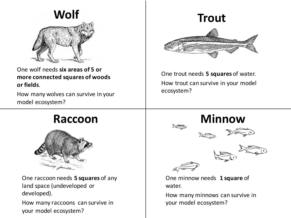

One wolf needs six areas of 5 or more connected squares of woods **or fields**. 

How many wolves can survive in your model ecosystem?

# **Trout**

One trout needs 5 squares of water. How trout can survive in your model ecosystem?



One raccoon needs **5 squares** of any land space (undeveloped or developed). 

How many raccoons can survive in your model ecosystem?











One minnow needs 1 square of water. 

How many minnows can survive in your model ecosystem?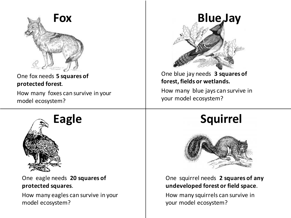

### One fox needs 5 squares of **protected forest**.

How many foxes can survive in your model ecosystem?



One eagle needs 20 squares of **protected squares**. 

How many eagles can survive in your model ecosystem?



## One blue jay needs 3 squares of **forest, fields or wetlands.**

How many blue jays can survive in your model ecosystem?

# Eagle **Squirrel**



### One squirrel needs 2 squares of any **undeveloped forest or field space**.

How many squirrels can survive in your model ecosystem?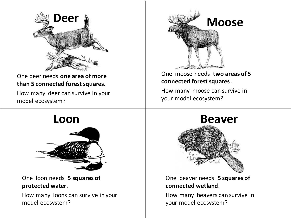

One deer needs **one area of more than 5 connected forest squares**. 

How many deer can survive in your model ecosystem?



One moose needs **two areas of 5 connected forest squares** . 

How many moose can survive in your model ecosystem?



One loon needs 5 squares of **protected water**. 

How many loons can survive in your model ecosystem?



One beaver needs **5 squares of connected wetland**. 

How many beavers can survive in your model ecosystem?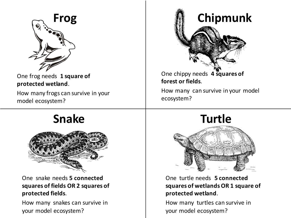

One frog needs 1 square of **protected wetland**. 

How many frogs can survive in your model ecosystem?



How many can survive in your model ecosystem?



One snake needs 5 connected squares of fields OR 2 squares of **protected fields**. 

How many snakes can survive in your model ecosystem?



One turtle needs **5 connected** squares of wetlands OR 1 square of **protected wetland**. 

How many turtles can survive in your model ecosystem?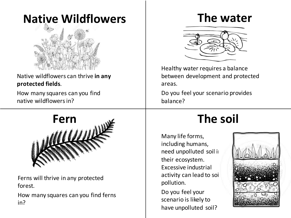# **Native Wildflowers**



## Native wildflowers can thrive in any **protected fields**.

How many squares can you find native wildflowers in?



Ferns will thrive in any protected forest. 

How many squares can you find ferns in?

# **The water**



Healthy water requires a balance between development and protected areas. 

Do you feel your scenario provides balance?

Many life forms, including humans, need unpolluted soil i their ecosystem. Excessive industrial activity can lead to soi pollution. 

Do you feel your scenario is likely to have unpolluted soil?